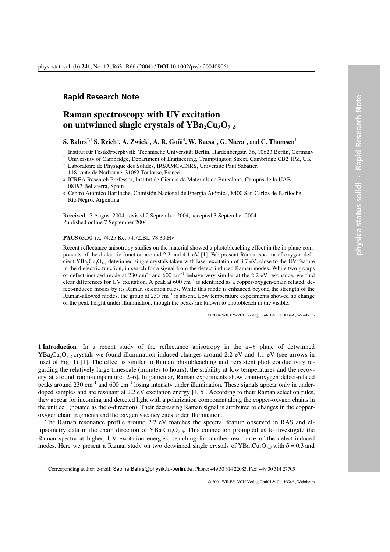## **Rapid Research Note**

# **Raman spectroscopy with UV excitation**  on untwinned single crystals of  $YBa<sub>2</sub>Cu<sub>3</sub>O<sub>7-</sub>$

#### $\mathbf{S.}$  Bahrs<sup>\*,1</sup> S. Reich<sup>2</sup>, A. Zwick<sup>3</sup>, A. R. Goñi<sup>4</sup>, W. Bacsa<sup>3</sup>, G. Nieva<sup>5</sup>, and C. Thomsen<sup>1</sup>

1

Institut für Festkörperphysik, Technische Universität Berlin, Hardenbergstr. 36, 10623 Berlin, Germany University of Cambridge, Department of Engineering, Trumptington Street, Cambridge CB2 1PZ, UK<br>Laboratoire de Physique

118 route de Narbonne, 31062 Toulouse, France

Received 17 August 2004, revised 2 September 2004, accepted 3 September 2004 Published online 7 September 2004

#### **PACS** 63.50.+x, 74.25.Kc, 74.72.Bk, 78.30.Hv

Recent reflectance anisotropy studies on the material showed a photobleaching effect in the in-plane components of the dielectric function around 2.2 and 4.1 eV [1]. We present Raman spectra of oxygen deficient YBa<sub>2</sub>Cu<sub>3</sub>O<sub>7-*d*</sub> detwinned single crystals taken with laser excitation of 3.7 eV, close to the UV feature in the dielectric function, in search for a signal from the defect-induced Raman modes. While two groups of defect-induced mode at 230 cm<sup>-1</sup> and  $600 \text{ cm}^{-1}$  behave very similar at the 2.2 eV resonance, we find clear differences for UV excitation. A peak at  $600 \text{ cm}^{-1}$  is identified as a copper-oxygen-chain related, defect-induced modes by its Raman selection rules. While this mode is enhanced beyond the strength of the Raman-allowed modes, the group at  $230 \text{ cm}^{-1}$  is absent. Low temperature experiments showed no change of the peak height under illumination, though the peaks are known to photobleach in the visible.

© 2004 WILEY-VCH Verlag GmbH & Co. KGaA, Weinheim

**1 Introduction** In a recent study of the reflectance anisotropy in the *a*–*b* plane of detwinned YBa<sub>2</sub>Cu<sub>3</sub>O<sub>7-0</sub><sup>o</sup> crystals we found illumination-induced changes around 2.2 eV and 4.1 eV (see arrows in inset of Fig. 1) [1]. The effect is similar to Raman photobleaching and persistent photoconductivity regarding the relatively large timescale (minutes to hours), the stability at low temperatures and the recovery at around room-temperature [2–6]. In particular, Raman experiments show chain-oxygen defect-related peaks around 230 cm<sup>-1</sup> and 600 cm<sup>-1</sup> losing intensity under illumination. These signals appear only in underdoped samples and are resonant at 2.2 eV excitation energy [4, 5]. According to their Raman selection rules, they appear for incoming and detected light with a polarization component along the copper-oxygen chains in the unit cell (notated as the *b*-direction). Their decreasing Raman signal is attributed to changes in the copperoxygen chain fragments and the oxygen vacancy cites under illumination.

 The Raman resonance profile around 2.2 eV matches the spectral feature observed in RAS and ellipsometry data in the chain direction of  $YBa<sub>2</sub>Cu<sub>3</sub>O<sub>7–\delta</sub>$ . This connection prompted us to investigate the Raman spectra at higher, UV excitation energies, searching for another resonance of the defect-induced modes. Here we present a Raman study on two detwinned single crystals of  $YBa_2Cu_3O_{7-}\phi$  with  $\delta = 0.3$  and

© 2004 WILEY-VCH Verlag GmbH & Co. KGaA, Weinheim

<sup>4</sup> ICREA Research Professor, Institut de Ciència de Materials de Barcelona, Campus de la UAB, 08193 Bellaterra, Spain

<sup>5</sup> Centro Atómico Bariloche, Comisión Nacional de Energía Atómica, 8400 San Carlos de Bariloche, Río Negro, Argentina

<sup>\*</sup> Corresponding author: e-mail: Sabine.Bahrs@physik.tu-berlin.de, Phone: +49 30 314 22083, Fax: +49 30 314 27705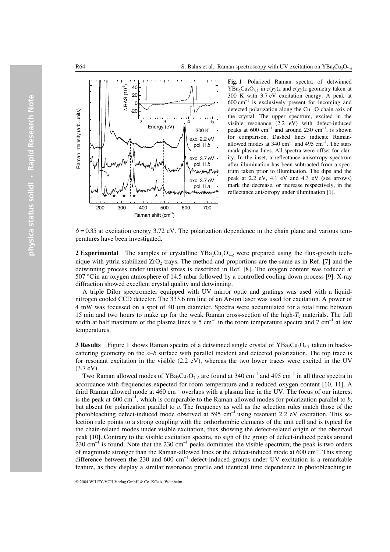

**Fig. 1** Polarized Raman spectra of detwinned  $YBa<sub>2</sub>Cu<sub>3</sub>O<sub>6.7</sub>$  in  $z(yy)z$  and  $z(yy)z$  geometry taken at 300 K with 3.7 eV excitation energy. A peak at 600 cm<sup>-1</sup> is exclusively present for incoming and is exclusively present for incoming and detected polarization along the Cu–O-chain axis of the crystal. The upper spectrum, excited in the visible resonance (2.2 eV) with defect-induced peaks at  $600 \text{ cm}^{-1}$  and around  $230 \text{ cm}^{-1}$ , is shown for comparison. Dashed lines indicate Ramanallowed modes at  $340 \text{ cm}^{-1}$  and  $495 \text{ cm}^{-1}$ . The stars mark plasma lines. All spectra were offset for clarity. In the inset, a reflectance anisotropy spectrum after illumination has been subtracted from a spectrum taken prior to illumination. The dips and the peak at 2.2 eV, 4.1 eV and 4.3 eV (see arrows) mark the decrease, or increase respectively, in the reflectance anisotropy under illumination [1].

 $\delta$  = 0.35 at excitation energy 3.72 eV. The polarization dependence in the chain plane and various temperatures have been investigated.

**2 Experimental** The samples of crystalline  $YBa_2Cu_3O_{7-\delta}$  were prepared using the flux-growth technique with yttria stabilized  $ZrO<sub>2</sub>$  trays. The method and proportions are the same as in Ref. [7] and the detwinning process under uniaxial stress is described in Ref. [8]. The oxygen content was reduced at 507 °Cin an oxygen atmosphere of 14.5 mbar followed by a controlled cooling down process [9]. X-ray diffraction showed excellent crystal quality and detwinning.

 A triple Dilor spectrometer equipped with UV mirror optic and gratings was used with a liquidnitrogen cooled CCD detector. The 333.6 nm line of an Ar-ion laser was used for excitation. A power of 4 mW was focussed on a spot of 40 *µ*m diameter. Spectra were accumulated for a total time between 15 min and two hours to make up for the weak Raman cross-section of the high- $T_c$  materials. The full width at half maximum of the plasma lines is 5 cm<sup>-1</sup> in the room temperature spectra and 7 cm<sup>-1</sup> at low temperatures.

**3 Results** Figure 1 shows Raman spectra of a detwinned single crystal of  $YBa<sub>2</sub>Cu<sub>3</sub>O<sub>6.7</sub>$  taken in backscattering geometry on the  $a-b$  surface with parallel incident and detected polarization. The top trace is for resonant excitation in the visible (2.2 eV), whereas the two lower traces were excited in the UV (3.7 eV).

Two Raman allowed modes of  $YBa<sub>2</sub>Cu<sub>3</sub>O<sub>7–\delta</sub>$  are found at 340 cm<sup>-1</sup> and 495 cm<sup>-1</sup> in all three spectra in accordance with frequencies expected for room temperature and a reduced oxygen content [10, 11]. A third Raman allowed mode at  $460 \text{ cm}^{-1}$  overlaps with a plasma line in the UV. The focus of our interest is the peak at  $600 \text{ cm}^{-1}$ , which is comparable to the Raman allowed modes for polarization parallel to *b*, but absent for polarization parallel to *a*. The frequency as well as the selection rules match those of the photobleaching defect-induced mode observed at 595 cm<sup>-1</sup> using resonant 2.2 eV excitation. This selection rule points to a strong coupling with the orthorhombic elements of the unit cell and is typical for the chain-related modes under visible excitation, thus showing the defect-related origin of the observed peak [10]. Contrary to the visible excitation spectra, no sign of the group of defect-induced peaks around  $230 \text{ cm}^{-1}$  is found. Note that the 230 cm<sup>-1</sup> peaks dominates the visible spectrum; the peak is two orders of magnitude stronger than the Raman-allowed lines or the defect-induced mode at 600 cm<sup>-1</sup>. This strong difference between the 230 and 600  $cm^{-1}$  defect-induced groups under UV excitation is a remarkable feature, as they display a similar resonance profile and identical time dependence in photobleaching in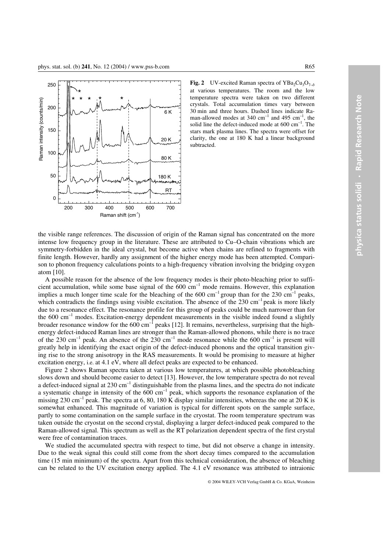

**Fig. 2** UV-excited Raman spectra of  $YBa<sub>2</sub>Cu<sub>3</sub>O<sub>7-\delta</sub>$ at various temperatures. The room and the low temperature spectra were taken on two different crystals. Total accumulation times vary between 30 min and three hours. Dashed lines indicate Raman-allowed modes at  $340 \text{ cm}^{-1}$  and  $495 \text{ cm}^{-1}$ , the solid line the defect-induced mode at  $600 \text{ cm}^{-1}$ . The stars mark plasma lines. The spectra were offset for clarity, the one at 180 K had a linear background subtracted.

the visible range references. The discussion of origin of the Raman signal has concentrated on the more intense low frequency group in the literature. These are attributed to Cu–O-chain vibrations which are symmetry-forbidden in the ideal crystal, but become active when chains are refined to fragments with finite length. However, hardly any assignment of the higher energy mode has been attempted. Comparison to phonon frequency calculations points to a high-frequency vibration involving the bridging oxygen atom [10].

 A possible reason for the absence of the low frequency modes is their photo-bleaching prior to sufficient accumulation, while some base signal of the  $600 \text{ cm}^{-1}$  mode remains. However, this explanation implies a much longer time scale for the bleaching of the  $600 \text{ cm}^{-1}$  group than for the  $230 \text{ cm}^{-1}$  peaks, which contradicts the findings using visible excitation. The absence of the 230 cm<sup>-1</sup> peak is more likely due to a resonance effect. The resonance profile for this group of peaks could be much narrower than for the 600  $\text{cm}^{-1}$  modes. Excitation-energy dependent measurements in the visible indeed found a slightly broader resonance window for the  $600 \text{ cm}^{-1}$  peaks [12]. It remains, nevertheless, surprising that the highenergy defect-induced Raman lines are stronger than the Raman-allowed phonons, while there is no trace of the 230 cm<sup>-1</sup> peak. An absence of the 230 cm<sup>-1</sup> mode resonance while the 600 cm<sup>-1</sup> is present will greatly help in identifying the exact origin of the defect-induced phonons and the optical transition giving rise to the strong anisotropy in the RAS measurements. It would be promising to measure at higher excitation energy, i.e. at 4.1 eV, where all defect peaks are expected to be enhanced.

 Figure 2 shows Raman spectra taken at various low temperatures, at which possible photobleaching slows down and should become easier to detect [13]. However, the low temperature spectra do not reveal a defect-induced signal at  $230 \text{ cm}^{-1}$  distinguishable from the plasma lines, and the spectra do not indicate a systematic change in intensity of the  $600 \text{ cm}^{-1}$  peak, which supports the resonance explanation of the missing 230 cm<sup>-1</sup> peak. The spectra at 6, 80, 180 K display similar intensities, whereas the one at 20 K is somewhat enhanced. This magnitude of variation is typical for different spots on the sample surface, partly to some contamination on the sample surface in the cryostat. The room temperature spectrum was taken outside the cryostat on the second crystal, displaying a larger defect-induced peak compared to the Raman-allowed signal. This spectrum as well as the RT polarization dependent spectra of the first crystal were free of contamination traces.

We studied the accumulated spectra with respect to time, but did not observe a change in intensity. Due to the weak signal this could still come from the short decay times compared to the accumulation time (15 min minimum) of the spectra. Apart from this technical consideration, the absence of bleaching can be related to the UV excitation energy applied. The 4.1 eV resonance was attributed to intraionic

© 2004 WILEY-VCH Verlag GmbH & Co. KGaA, Weinheim